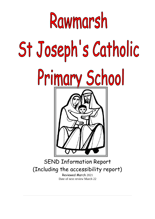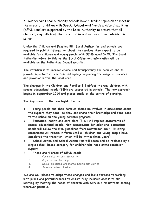All Rotherham Local Authority schools have a similar approach to meeting the needs of children with Special Educational Needs and/or disabilities (SEND) and are supported by the Local Authority to ensure that all children, regardless of their specific needs, achieve their potential in school.

**Under the Children and Families Bill, Local Authorities and schools are required to publish information about the services they expect to be available for children and young people with SEND aged 0-25. The Local Authority refers to this as the 'Local Offer' and information will be available on the Rotherham Council website.**

**The intention is to improve choice and transparency for families and to provide important information and signage regarding the range of services and provision within the local area.**

**The changes in the Children and Families Bill affect the way children with special educational needs (SEN) are supported in schools. The new approach begins in September 2014 and places pupils at the centre of planning.**

**The key areas of the new legislation are:**

- **1. Young people and their families should be involved in discussions about the support they need, so they can share their knowledge and feed back to the school on the young person's progress.**
- **2. Education, health and care plans (EHC) will replace statements of special educational needs. New assessments for additional educational needs will follow the EHC guidelines from September 2014. (Existing statements will remain in force until all children and young people have completed the transition, which will be within three years).**
- **3. School Action and School Action Plus will cease and be replaced by a single school-based category for children who need extra specialist support.**
- **4. There are 4 areas of SEND need:**
	- 1. Communication and interaction
	- 2. Cognition and learning
	- 3. Social, emotional and mental health difficulties
	- 4. Sensory and/or physical

**We are well placed to adopt these changes and looks forward to working with pupils and parents/carers to ensure fully inclusive access to our learning by meeting the needs of children with SEN in a mainstream setting, wherever possible.**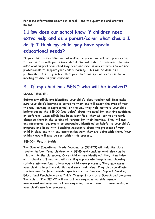**For more information about our school – see the questions and answers below:**

# **1.How does our school know if children need extra help and as a parent/carer what should I do if I think my child may have special educational needs?**

**If your child is identified as not making progress, we will set up a meeting to discuss this with you in more detail. We will listen to concerns, plan any additional support your child may need and discuss any referrals to outside professionals to support your child's learning. This will be done as a partnership. Also if you feel that your child has special needs ask for a meeting to discuss your concerns.**

#### **2. If my child has SEND who will be involved?**

#### **CLASS TEACHER**

**Before any SEND are identified your child's class teacher will first make sure your child's learning is suited to them and will adapt the type of task, the way learning is approached, or the way they help motivate your child before seeing the SENCO (see below) about the need for anything additional or different. Once SEND has been identified, they will ask you to work alongside them in the setting of targets for their learning. They will use any strategies, equipment or approaches identified as helpful to your child's progress and liaise with Teaching Assistants about the progress of your child in class and with any intervention work they are doing with them. Your child's views will also be sort within this process.**

#### **SENCO- Mrs. A Smith**

**The Special Educational Needs Coordinator (SENCO) will help the class teacher in identifying children with SEND and consider what else can be tried within the classroom. Once children are identified, they then liaise with school staff and help with setting appropriate targets and choosing suitable interventions to help your child make progress. They may assess your child to help them do this and seek their view. They also coordinate the intervention from outside agencies such as Learning Support Service, Educational Psychology or a Child's Therapist such as a Speech and Language Therapist. The SENCO will contact you regarding outside agency involvement and may contact you regarding the outcome of assessments, or your child's needs or progress.**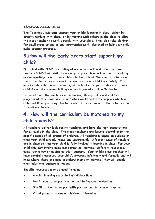#### **TEACHING ASSISTANTS**

**The Teaching Assistants support your child's learning in class, either by directly working with them, or by working with others in the class to allow the class teacher to work directly with your child. They also take children for small group or one to one intervention work, designed to help your child make greater progress.**

## **3.How will the Early Years staff support my child?**

**If a child with SEND is starting at our school in Foundation, the class teacher/SENCO will visit the nursery or pre-school setting and attend any review meetings prior to your child starting school. We can also discuss a transition plan so we can meet the needs of your child immediately. This may include extra induction visits, photo books for you to share with your child during the summer holidays or a staggered start in September.**

**In Foundation, the emphasis is on learning through play and children progress at their own pace so activities would match the appropriate level. Extra adult support may also be needed to model some of the activities and to work one to one.**

## **4. How will the curriculum be matched to my child's needs?**

**All teachers deliver high quality teaching, and have the high expectations for all pupils in the class. The class teacher plans lessons according to the specific needs of all groups of children. All teaching is based on building on what your child already knows and understands. Different ways of teaching are in place so that your child is fully involved in learning in class. For your child this may involve using more practical learning, different resources, using technology or additional adult support. Your child's class teacher will have carefully assessed your child's progress informally and formally and will know where there are gaps in understanding or learning, they will decide when additional support is needed.**

**Specific resources may be used including:**

- **A quiet learning space to limit distractions**
- **Pencil grips to support control and to improve handwriting**
- **Sit-fit cushion to support with posture and to reduce fidgeting**
- **Visual prompts to remind children of learning**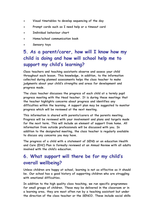- **Visual timetables to develop sequencing of the day**
- **Prompt cards such as I need help or a timeout card**
- **Individual behaviour chart**
- **Home/school communication book**
- **Sensory toys**

# **5. As a parent/carer, how will I know how my child is doing and how will school help me to support my child's learning?**

**Class teachers and teaching assistants observe and assess your child throughout each lesson. This knowledge, in addition, to the information collected during planned assessments helps the class teacher to make judgments about your child's strengths and areas for development and progress made.**

**The class teacher discusses the progress of each child at a termly pupil progress meeting with the Head teacher. It is during these meetings that the teacher highlights concerns about progress and identifies any difficulties within the learning. A support plan may be suggested to monitor progress which will be reviewed at the next meeting.**

**This information is shared with parents/carers at the parents meeting. Progress will be reviewed with your involvement and plans and targets made for the next term. This will include an element of support from home. All information from outside professionals will be discussed with you. In addition to the designated meeting, the class teacher is regularly available to discuss any concerns you may have.**

**The progress of a child with a statement of SEND or an education Health and Care (EHC) Plan is formally reviewed at an Annual Review with all adults involved with the child's education.**

## **6. What support will there be for my child's overall wellbeing?**

**Unless children are happy at school, learning is not as effective as it should be. Our school has a good history of supporting children who are struggling with emotional difficulties.**

**In addition to the high quality class teaching, we run specific programmes for small groups of children. These may be delivered in the classroom or in a learning area, they are most often run by a teaching assistant but under the direction of the class teacher or the SENCO. These include social skills**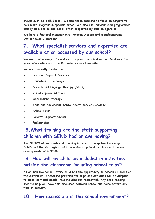**groups such as 'Talk Boost'. We use these sessions to focus on targets to help make progress in specific areas. We also use individualised programmes usually on a one to one basis, often supported by outside agencies.**

**We have a Pastoral Manager Mrs. Andrea Glossop and a Safeguarding Officer Miss C Marsden.**

## **7. What specialist services and expertise are available at or accessed by our school?**

**We use a wide range of services to support our children and families- for more information visit the Rotherham council website.**

**We are currently involved with:**

- **Learning Support Services**
- **Educational Psychology**
- **Speech and language therapy (SALT)**
- **Visual impairment team**
- **Occupational therapy**
- **Child and adolescent mental health service (CAMHS)**
- **School nurse**
- **Parental support advisor**
- **Pediatrician**

# **8.What training are the staff supporting children with SEND had or are having?**

**The SENCO attends relevant training in order to keep her knowledge of SEND and the strategies and interventions up to date along with current developments with SEND.**

## **9. How will my child be included in activities outside the classroom including school trips?**

**As an inclusive school, every child has the opportunity to access all areas of the curriculum. Therefore provision for trips and activities will be adapted to meet individual needs, this includes our residential. Any child needing specific help will have this discussed between school and home before any visit or activity.**

#### **10. How accessible is the school environment?**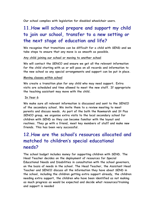**Our school complies with legislation for disabled wheelchair users.** 

# **11.How will school prepare and support my child to join our school, transfer to a new setting or the next stage of education and life?**

**We recognise that transitions can be difficult for a child with SEND and we take steps to ensure that any move is as smooth as possible.**

#### **Any child joining our school or moving to another school**

**We will contact the SENCO and ensure we get all the relevant information for the child starting with us or will pass on all records and information to the new school so any special arrangements and support can be put in place.**

#### **Moving classes within school**

**We create a transition plan for any child who may need support. Extra visits are scheduled and time allowed to meet the new staff. If appropriate the teaching assistant may move with the child.**

#### **In Year 6**

**We make sure all relevant information is discussed and sent to the SENCO of the secondary school. We invite them to a review meeting to meet parents and discuss needs. As part of the both the Rawmarsh and St Pius SENCO group, we organise extra visits to the local secondary school for children with SEND so they can become familiar with the layout and routines. They go with a friend, meet key members of staff and make new friends. This has been very successful.**

## **12.How are the school's resources allocated and matched to children's special educational needs?**

**The school budget includes money for supporting children with SEND. The Head Teacher decides on the deployment of resources for Special Educational Needs and Disabilities in consultation with the school governors, on the basis of needs in the school. The Head Teacher, the Assistant Head Teacher and SENCO discuss all the information they have about SEND in the school, including the children getting extra support already, the children needing extra support, the children who have been identified as not making as much progress as would be expected and decide what resources/training and support is needed**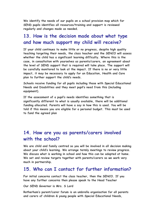**We identify the needs of our pupils on a school provision map which for SEND pupils identifies all resources/training and support is reviewed regularly and changes made as needed.**

### **13. How is the decision made about what type and how much support my child will receive?**

**If your child continues to make little or no progress, despite high quality teaching targeting their needs, the class teacher and the SENCO will assess whether the child has a significant learning difficulty. Where this is the case, in consultation with yourselves as parents/carers, an agreement about the level of SEND support that is required will take place. The support will be carefully monitored to look at the impact. If there is no or very little impact, it may be necessary to apply for an Education, Health and Care plan to further support the child's needs.**

**Schools receive funding for all pupils including those with Special Educational Needs and Disabilities and they meet pupil's need from this (including equipment).**

**If the assessment of a pupil's needs identifies something that is significantly different to what is usually available, there will be additional funding allocated. Parents will have a say in how this is used. You will be told if this means you are eligible for a personal budget. This must be used to fund the agreed plan**

### **14. How are you as parents/carers involved with the school?**

**We are child and family centred so you will be involved in all decision making about your child's learning. We arrange termly meetings to review progress. We discuss what is working in school and how this can be adapted at home. We set and review targets together with parents/carers so we work very much in partnership.**

#### **15. Who can I contact for further information?**

**For initial concerns contact the class teacher, then the SENCO. If you have any further concerns then please speak to the Head Teacher**

#### **Our SEND Governor is Mrs. S Lord**

**Rotherham's parent/carer forum is an umbrella organisation for all parents and carers of children & young people with Special Educational Needs,**